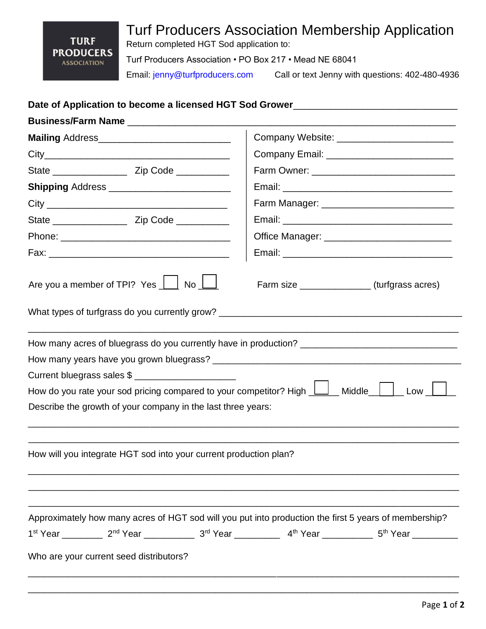## Turf Producers Association Membership Application

**TURF PRODUCERS ASSOCIATION** 

Return completed HGT Sod application to:

Turf Producers Association • PO Box 217 • Mead NE 68041

Email: jenny@turfproducers.com Call or text Jenny with questions: 402-480-4936

## Date of Application to become a licensed HGT Sod Grower\_\_\_\_\_\_\_\_\_\_\_\_\_\_\_\_\_\_\_\_\_\_\_\_\_

|                                                                                                                                                                                                                                                                                                                          | Company Website: ____________________________    |  |  |  |  |
|--------------------------------------------------------------------------------------------------------------------------------------------------------------------------------------------------------------------------------------------------------------------------------------------------------------------------|--------------------------------------------------|--|--|--|--|
|                                                                                                                                                                                                                                                                                                                          | Company Email: _________________________________ |  |  |  |  |
|                                                                                                                                                                                                                                                                                                                          |                                                  |  |  |  |  |
|                                                                                                                                                                                                                                                                                                                          |                                                  |  |  |  |  |
|                                                                                                                                                                                                                                                                                                                          | Farm Manager: ________________________________   |  |  |  |  |
|                                                                                                                                                                                                                                                                                                                          |                                                  |  |  |  |  |
|                                                                                                                                                                                                                                                                                                                          | Office Manager: _____________________________    |  |  |  |  |
|                                                                                                                                                                                                                                                                                                                          |                                                  |  |  |  |  |
| Are you a member of TPI? Yes $\boxed{\phantom{1}}$ No $\boxed{\phantom{1}}$                                                                                                                                                                                                                                              | Farm size _______________(turfgrass acres)       |  |  |  |  |
| What types of turfgrass do you currently grow?                                                                                                                                                                                                                                                                           |                                                  |  |  |  |  |
| How many acres of bluegrass do you currently have in production?<br>Current bluegrass sales \$<br>How do you rate your sod pricing compared to your competitor? High $\boxed{\underline{\qquad}}$ Middle $\boxed{\phantom{a}}$ Low $\boxed{\phantom{a}}$<br>Describe the growth of your company in the last three years: |                                                  |  |  |  |  |
| How will you integrate HGT sod into your current production plan?                                                                                                                                                                                                                                                        |                                                  |  |  |  |  |
| Approximately how many acres of HGT sod will you put into production the first 5 years of membership?<br>1 <sup>st</sup> Year __________ 2 <sup>nd</sup> Year ____________ 3 <sup>rd</sup> Year __________ 4 <sup>th</sup> Year __________ 5 <sup>th</sup> Year __________<br>Who are your current seed distributors?    |                                                  |  |  |  |  |
|                                                                                                                                                                                                                                                                                                                          |                                                  |  |  |  |  |